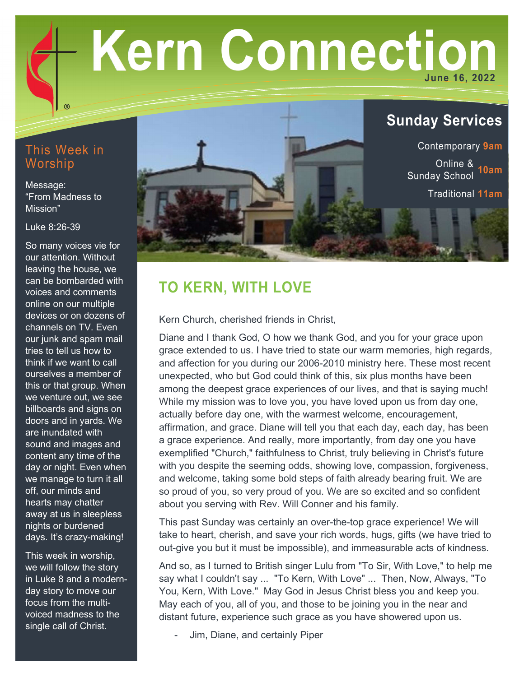# Kern Connection June 16, 2022

# This Week in Worship

Message: "From Madness to Mission"

Luke 8:26-39

So many voices vie for our attention. Without leaving the house, we can be bombarded with voices and comments online on our multiple devices or on dozens of channels on TV. Even our junk and spam mail tries to tell us how to think if we want to call ourselves a member of this or that group. When we venture out, we see billboards and signs on doors and in yards. We are inundated with sound and images and content any time of the day or night. Even when we manage to turn it all off, our minds and hearts may chatter away at us in sleepless nights or burdened days. It's crazy-making!

This week in worship, we will follow the story in Luke 8 and a modernday story to move our focus from the multivoiced madness to the single call of Christ.



# TO KERN, WITH LOVE

Kern Church, cherished friends in Christ,

Diane and I thank God, O how we thank God, and you for your grace upon grace extended to us. I have tried to state our warm memories, high regards, and affection for you during our 2006-2010 ministry here. These most recent unexpected, who but God could think of this, six plus months have been among the deepest grace experiences of our lives, and that is saying much! While my mission was to love you, you have loved upon us from day one, actually before day one, with the warmest welcome, encouragement, affirmation, and grace. Diane will tell you that each day, each day, has been a grace experience. And really, more importantly, from day one you have exemplified "Church," faithfulness to Christ, truly believing in Christ's future with you despite the seeming odds, showing love, compassion, forgiveness, and welcome, taking some bold steps of faith already bearing fruit. We are so proud of you, so very proud of you. We are so excited and so confident about you serving with Rev. Will Conner and his family.

This past Sunday was certainly an over-the-top grace experience! We will take to heart, cherish, and save your rich words, hugs, gifts (we have tried to out-give you but it must be impossible), and immeasurable acts of kindness.

And so, as I turned to British singer Lulu from "To Sir, With Love," to help me say what I couldn't say ... "To Kern, With Love" ... Then, Now, Always, "To You, Kern, With Love." May God in Jesus Christ bless you and keep you. May each of you, all of you, and those to be joining you in the near and distant future, experience such grace as you have showered upon us.

Jim, Diane, and certainly Piper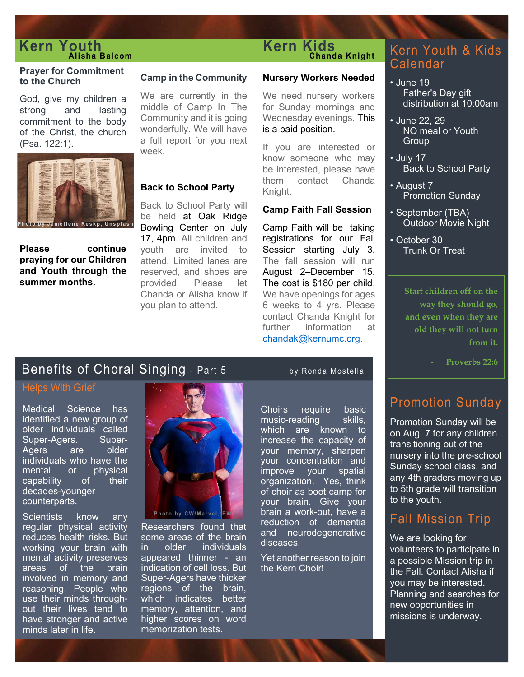# **Kern Youth** Kern Kids<br> **Kern Kids**<br>
Chanda Knight<br>
Kern Youth & Kids

#### Prayer for Commitment to the Church

God, give my children a strong and lasting commitment to the body of the Christ, the church (Psa. 122:1).



Please continue praying for our Children and Youth through the summer months.

#### Camp in the Community

We are currently in the middle of Camp In The Community and it is going wonderfully. We will have a full report for you next week.

#### Back to School Party

Back to School Party will be held at Oak Ridge Bowling Center on July 17, 4pm. All children and youth are invited to attend. Limited lanes are reserved, and shoes are provided. Please let Chanda or Alisha know if you plan to attend.

### Alisha Balcom Chanda Knight Kern Kids

#### Nursery Workers Needed

We need nursery workers for Sunday mornings and Wednesday evenings. This is a paid position.

If you are interested or know someone who may be interested, please have them contact Chanda Knight.

#### Camp Faith Fall Session

Camp Faith will be taking registrations for our Fall Session starting July 3. The fall session will run August 2–December 15. The cost is \$180 per child. We have openings for ages 6 weeks to 4 yrs. Please contact Chanda Knight for further information at chandak@kernumc.org.

# Calendar

- June 19 Father's Day gift distribution at 10:00am
- June 22, 29 NO meal or Youth **Group**
- July 17 Back to School Party
- August 7 Promotion Sunday
- September (TBA) Outdoor Movie Night
- October 30 Trunk Or Treat

Start children off on the way they should go, and even when they are old they will not turn from it.

Proverbs 22:6

# Promotion Sunday

Promotion Sunday will be on Aug. 7 for any children transitioning out of the nursery into the pre-school Sunday school class, and any 4th graders moving up to 5th grade will transition to the youth.

# Fall Mission Trip

We are looking for volunteers to participate in a possible Mission trip in the Fall. Contact Alisha if you may be interested. Planning and searches for new opportunities in missions is underway.

# Benefits of Choral Singing - Part 5 by Ronda Mostella

# Helps With Grief

Medical Science has identified a new group of older individuals called<br>Super-Agers. Super-Super-Agers. Agers are older individuals who have the mental or physical capability of their decades-younger counterparts.

Scientists know any regular physical activity reduces health risks. But working your brain with mental activity preserves areas of the brain involved in memory and reasoning. People who use their minds throughout their lives tend to have stronger and active minds later in life.



Researchers found that some areas of the brain in older individuals appeared thinner - an indication of cell loss. But Super-Agers have thicker regions of the brain, which indicates better memory, attention, and higher scores on word memorization tests.

and a or Alisha know if We have openings for ages<br>
ochact Chanda Knight for a way they should go,<br>
contact Chanda Knight for and even when they are<br>
further information at<br>
chanda Knight for any enverths 22:6<br>
1910 - Part Choirs require basic music-reading skills, which are known to increase the capacity of your memory, sharpen your concentration and improve your spatial organization. Yes, think of choir as boot camp for your brain. Give your brain a work-out, have a reduction of dementia and neurodegenerative diseases.

Yet another reason to join the Kern Choir!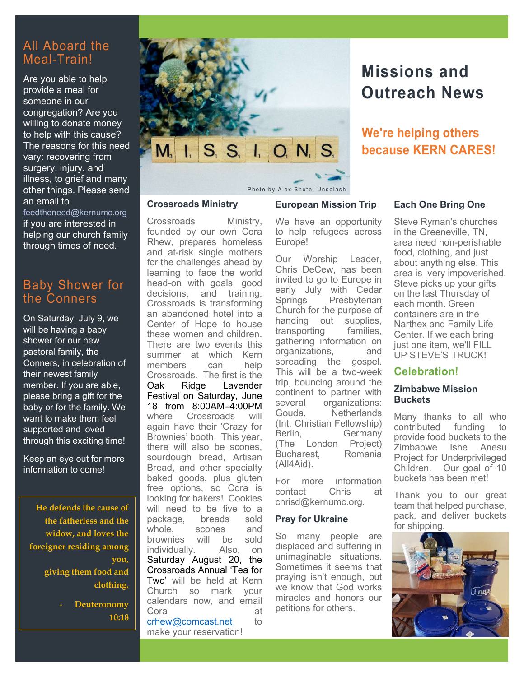# All Aboard the Meal-Train!

Are you able to help provide a meal for someone in our congregation? Are you willing to donate money to help with this cause? The reasons for this need vary: recovering from surgery, injury, and illness, to grief and many other things. Please send an email to

feedtheneed@kernumc.org if you are interested in helping our church family through times of need.

# Baby Shower for the Conners

On Saturday, July 9, we will be having a baby shower for our new pastoral family, the Conners, in celebration of their newest family member. If you are able, please bring a gift for the baby or for the family. We want to make them feel supported and loved through this exciting time!

Keep an eye out for more information to come!

He defends the cause of the fatherless and the widow, and loves the foreigner residing among you, giving them food and clothing.

Deuteronomy 10:18



# Missions and Outreach News

We're helping others because KERN CARES!

#### Crossroads Ministry

Crossroads Ministry, founded by our own Cora Rhew, prepares homeless and at-risk single mothers for the challenges ahead by learning to face the world head-on with goals, good decisions, and training. Crossroads is transforming an abandoned hotel into a Center of Hope to house these women and children. There are two events this summer at which Kern members can help Crossroads. The first is the Oak Ridge Lavender Festival on Saturday, June 18 from 8:00AM–4:00PM where Crossroads will again have their 'Crazy for Brownies' booth. This year, there will also be scones, sourdough bread, Artisan Bread, and other specialty baked goods, plus gluten free options, so Cora is looking for bakers! Cookies will need to be five to a package, breads sold whole, scones and brownies will be sold individually. Also, on Saturday August 20, the Crossroads Annual 'Tea for Two' will be held at Kern Church so mark your calendars now, and email Cora at crhew@comcast.net to make your reservation!

We have an opportunity to help refugees across Europe!

European Mission Trip

Our Worship Leader, Chris DeCew, has been invited to go to Europe in early July with Cedar<br>Springs Presbyterian Presbyterian Church for the purpose of handing out supplies,<br>transporting families. transporting gathering information on organizations, and spreading the gospel. This will be a two-week trip, bouncing around the continent to partner with several organizations: Gouda, Netherlands (Int. Christian Fellowship) Berlin, Germany (The London Project) Bucharest, Romania (All4Aid).

For more information<br>contact Chris at contact Chris at chrisd@kernumc.org.

#### Pray for Ukraine

So many people are displaced and suffering in unimaginable situations. Sometimes it seems that praying isn't enough, but we know that God works miracles and honors our petitions for others.

#### Each One Bring One

Steve Ryman's churches in the Greeneville, TN, area need non-perishable food, clothing, and just about anything else. This area is very impoverished. Steve picks up your gifts on the last Thursday of each month. Green containers are in the Narthex and Family Life Center. If we each bring just one item, we'll FILL UP STEVE'S TRUCK!

#### Celebration!

#### Zimbabwe Mission **Buckets**

Many thanks to all who contributed funding to provide food buckets to the Zimbabwe Ishe Anesu Project for Underprivileged Children. Our goal of 10 buckets has been met!

Thank you to our great team that helped purchase, pack, and deliver buckets for shipping.

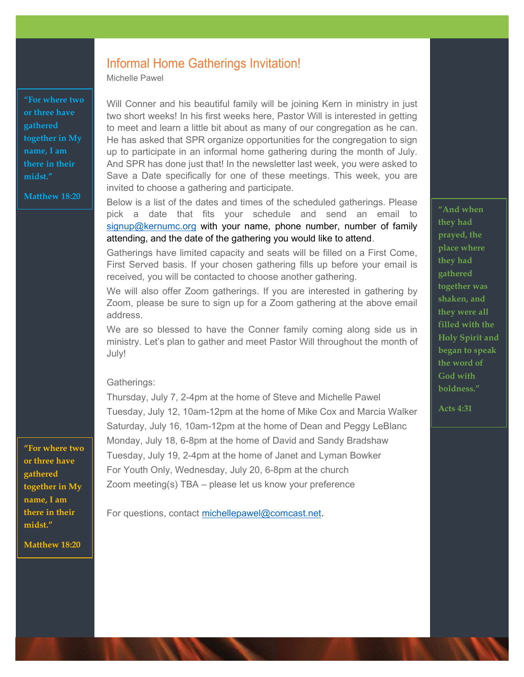# Informal Home Gatherings Invitation!

Michelle Pawel

"For where two or three have gathered together in My name, I am there in their midst."

Matthew 18:20

Will Conner and his beautiful family will be joining Kern in ministry in just two short weeks! In his first weeks here, Pastor Will is interested in getting to meet and learn a little bit about as many of our congregation as he can. He has asked that SPR organize opportunities for the congregation to sign up to participate in an informal home gathering during the month of July. And SPR has done just that! In the newsletter last week, you were asked to Save a Date specifically for one of these meetings. This week, you are invited to choose a gathering and participate.

Below is a list of the dates and times of the scheduled gatherings. Please pick a date that fits your schedule and send an email to  $signup@kernumc.org$  with your name, phone number, number of family attending, and the date of the gathering you would like to attend.

Gatherings have limited capacity and seats will be filled on a First Come, First Served basis. If your chosen gathering fills up before your email is received, you will be contacted to choose another gathering.

We will also offer Zoom gatherings. If you are interested in gathering by Zoom, please be sure to sign up for a Zoom gathering at the above email address.

We are so blessed to have the Conner family coming along side us in ministry. Let's plan to gather and meet Pastor Will throughout the month of July!

#### Gatherings:

Thursday, July 7, 2-4pm at the home of Steve and Michelle Pawel Tuesday, July 12, 10am-12pm at the home of Mike Cox and Marcia Walker Saturday, July 16, 10am-12pm at the home of Dean and Peggy LeBlanc Monday, July 18, 6-8pm at the home of David and Sandy Bradshaw Tuesday, July 19, 2-4pm at the home of Janet and Lyman Bowker For Youth Only, Wednesday, July 20, 6-8pm at the church Zoom meeting(s) TBA – please let us know your preference

For questions, contact michellepawel@comcast.net.

"And when they had prayed, the place where they had gathered together was shaken, and they were all filled with the Holy Spirit and began to speak the word of God with boldness."

Acts 4:31

"For where two or three have gathered together in My name, I am there in their midst."

Matthew 18:20

ľ